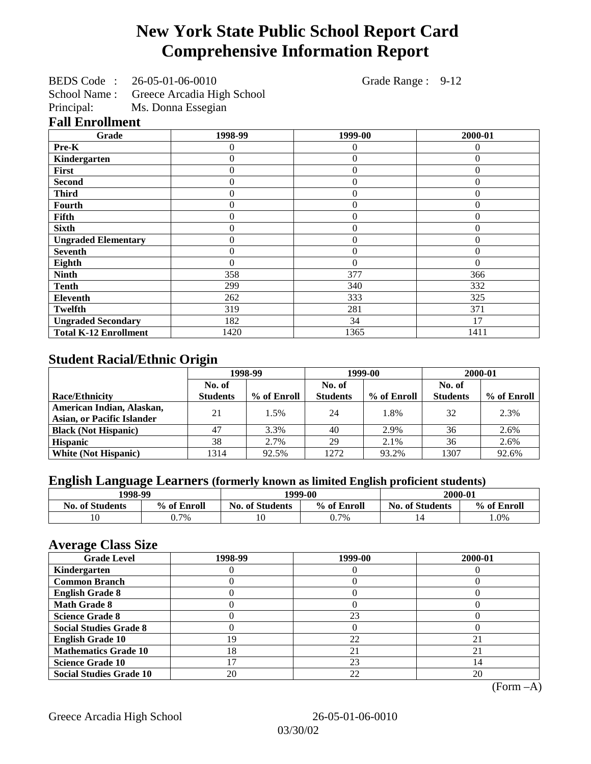# **New York State Public School Report Card Comprehensive Information Report**

BEDS Code : 26-05-01-06-0010 Grade Range : 9-12

School Name : Greece Arcadia High School

Principal: Ms. Donna Essegian

### **Fall Enrollment**

| Grade                        | 1998-99          | 1999-00        | 2000-01  |
|------------------------------|------------------|----------------|----------|
| Pre-K                        | 0                | $\theta$       | $\Omega$ |
| Kindergarten                 | $\boldsymbol{0}$ | $\overline{0}$ | $\Omega$ |
| First                        | $\mathbf{0}$     | $\overline{0}$ | $\Omega$ |
| <b>Second</b>                | $\boldsymbol{0}$ | $\overline{0}$ | $\Omega$ |
| <b>Third</b>                 | $\Omega$         | $\overline{0}$ | $\Omega$ |
| Fourth                       | $\Omega$         | $\theta$       | $\Omega$ |
| Fifth                        | $\Omega$         | $\overline{0}$ | 0        |
| <b>Sixth</b>                 | $\Omega$         | $\overline{0}$ | $\Omega$ |
| <b>Ungraded Elementary</b>   | 0                | $\theta$       | $\Omega$ |
| <b>Seventh</b>               | $\overline{0}$   | $\overline{0}$ | $\Omega$ |
| Eighth                       | $\mathbf{0}$     | $\theta$       | $\Omega$ |
| <b>Ninth</b>                 | 358              | 377            | 366      |
| <b>Tenth</b>                 | 299              | 340            | 332      |
| <b>Eleventh</b>              | 262              | 333            | 325      |
| <b>Twelfth</b>               | 319              | 281            | 371      |
| <b>Ungraded Secondary</b>    | 182              | 34             | 17       |
| <b>Total K-12 Enrollment</b> | 1420             | 1365           | 1411     |

## **Student Racial/Ethnic Origin**

|                                   | 1998-99         |             | 1999-00         |             | 2000-01         |             |
|-----------------------------------|-----------------|-------------|-----------------|-------------|-----------------|-------------|
|                                   | No. of          |             | No. of          |             | No. of          |             |
| <b>Race/Ethnicity</b>             | <b>Students</b> | % of Enroll | <b>Students</b> | % of Enroll | <b>Students</b> | % of Enroll |
| American Indian, Alaskan,         | 21              | 1.5%        | 24              | 1.8%        | 32              | 2.3%        |
| <b>Asian, or Pacific Islander</b> |                 |             |                 |             |                 |             |
| <b>Black (Not Hispanic)</b>       | 47              | 3.3%        | 40              | 2.9%        | 36              | 2.6%        |
| <b>Hispanic</b>                   | 38              | 2.7%        | 29              | 2.1%        | 36              | 2.6%        |
| <b>White (Not Hispanic)</b>       | 1314            | 92.5%       | 1272            | 93.2%       | 1307            | 92.6%       |

## **English Language Learners (formerly known as limited English proficient students)**

| 1998-99<br>2000-01<br>1999-00 |             |                        |             |                        |             |
|-------------------------------|-------------|------------------------|-------------|------------------------|-------------|
| <b>No. of Students</b>        | % of Enroll | <b>No. of Students</b> | % of Enroll | <b>No. of Students</b> | % of Enroll |
|                               | $0.7\%$     | 10                     | 0.7%        |                        | $.0\%$      |

### **Average Class Size**

| <b>Grade Level</b>             | 1998-99 | 1999-00 | 2000-01 |
|--------------------------------|---------|---------|---------|
| Kindergarten                   |         |         |         |
| <b>Common Branch</b>           |         |         |         |
| <b>English Grade 8</b>         |         |         |         |
| <b>Math Grade 8</b>            |         |         |         |
| <b>Science Grade 8</b>         |         | 23      |         |
| <b>Social Studies Grade 8</b>  |         |         |         |
| <b>English Grade 10</b>        | 19.     | 22      | 21      |
| <b>Mathematics Grade 10</b>    | 18      | 21      | 21      |
| <b>Science Grade 10</b>        |         | 23      |         |
| <b>Social Studies Grade 10</b> | 20      | 22      | 20      |

(Form –A)

Greece Arcadia High School 26-05-01-06-0010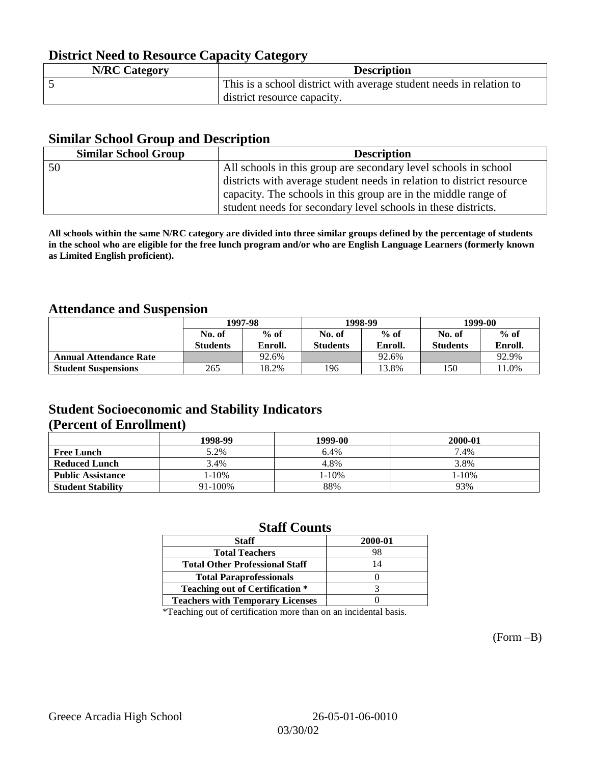## **District Need to Resource Capacity Category**

| <b>N/RC Category</b> | <b>Description</b>                                                  |
|----------------------|---------------------------------------------------------------------|
|                      | This is a school district with average student needs in relation to |
|                      | district resource capacity.                                         |

### **Similar School Group and Description**

| <b>Similar School Group</b> | <b>Description</b>                                                    |
|-----------------------------|-----------------------------------------------------------------------|
| 50                          | All schools in this group are secondary level schools in school       |
|                             | districts with average student needs in relation to district resource |
|                             | capacity. The schools in this group are in the middle range of        |
|                             | student needs for secondary level schools in these districts.         |

**All schools within the same N/RC category are divided into three similar groups defined by the percentage of students in the school who are eligible for the free lunch program and/or who are English Language Learners (formerly known as Limited English proficient).**

### **Attendance and Suspension**

|                               |                 | 1997-98 |                 | 1998-99 | 1999-00         |         |
|-------------------------------|-----------------|---------|-----------------|---------|-----------------|---------|
|                               | No. of          | $%$ of  | No. of          | $%$ of  | No. of          | $%$ of  |
|                               | <b>Students</b> | Enroll. | <b>Students</b> | Enroll. | <b>Students</b> | Enroll. |
| <b>Annual Attendance Rate</b> |                 | 92.6%   |                 | 92.6%   |                 | 92.9%   |
| <b>Student Suspensions</b>    | 265             | 18.2%   | 196             | 13.8%   | 150             | 1.0%    |

## **Student Socioeconomic and Stability Indicators (Percent of Enrollment)**

|                          | 1998-99 | 1999-00 | 2000-01 |
|--------------------------|---------|---------|---------|
| <b>Free Lunch</b>        | 5.2%    | 6.4%    | 7.4%    |
| <b>Reduced Lunch</b>     | 3.4%    | 4.8%    | 3.8%    |
| <b>Public Assistance</b> | 1-10%   | 1-10%   | 1-10%   |
| <b>Student Stability</b> | 91-100% | 88%     | 93%     |

### **Staff Counts**

| <b>Staff</b>                            | 2000-01 |
|-----------------------------------------|---------|
| <b>Total Teachers</b>                   | 98      |
| <b>Total Other Professional Staff</b>   | 14      |
| <b>Total Paraprofessionals</b>          |         |
| <b>Teaching out of Certification *</b>  |         |
| <b>Teachers with Temporary Licenses</b> |         |

\*Teaching out of certification more than on an incidental basis.

(Form –B)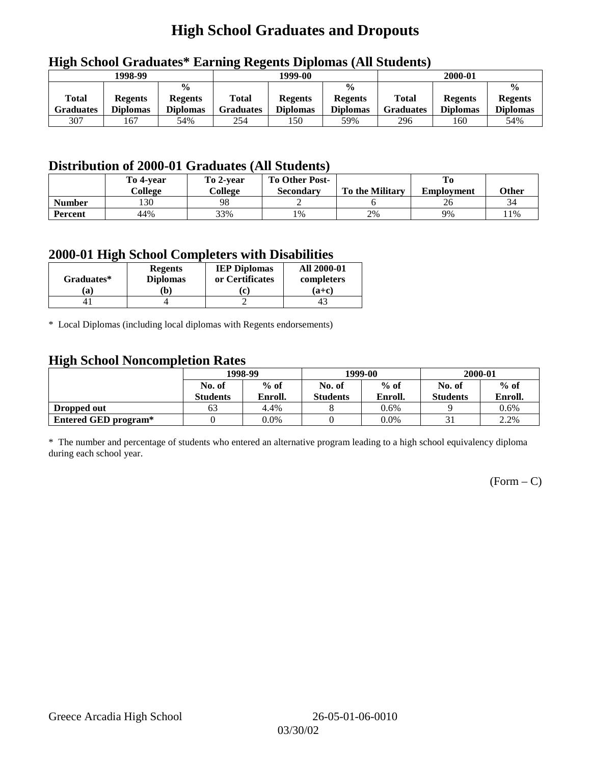# **High School Graduates and Dropouts**

|                           | 1998-99                           |                                                    |                           | $\overline{\phantom{a}}$<br>1999-00 |                                                    |                           | 2000-01                           |                                                    |
|---------------------------|-----------------------------------|----------------------------------------------------|---------------------------|-------------------------------------|----------------------------------------------------|---------------------------|-----------------------------------|----------------------------------------------------|
| <b>Total</b><br>Graduates | <b>Regents</b><br><b>Diplomas</b> | $\frac{0}{0}$<br><b>Regents</b><br><b>Diplomas</b> | <b>Total</b><br>Graduates | <b>Regents</b><br><b>Diplomas</b>   | $\frac{0}{0}$<br><b>Regents</b><br><b>Diplomas</b> | Total<br><b>Graduates</b> | <b>Regents</b><br><b>Diplomas</b> | $\frac{0}{0}$<br><b>Regents</b><br><b>Diplomas</b> |
| 307                       | 167                               | 54%                                                | 254                       | 150                                 | 59%                                                | 296                       | 160                               | 54%                                                |

## **High School Graduates\* Earning Regents Diplomas (All Students)**

## **Distribution of 2000-01 Graduates (All Students)**

|                | To 4-vear | To 2-year | <b>To Other Post-</b> |                        |                   |       |
|----------------|-----------|-----------|-----------------------|------------------------|-------------------|-------|
|                | College   | College   | <b>Secondary</b>      | <b>To the Military</b> | <b>Employment</b> | Other |
| <b>Number</b>  | 130       | 98        |                       |                        | Zb                | 34    |
| <b>Percent</b> | 44%       | 33%       | 1%                    | 2%                     | 9%                | 11%   |

### **2000-01 High School Completers with Disabilities**

| Graduates* | <b>Regents</b><br><b>Diplomas</b> | <b>IEP Diplomas</b><br>or Certificates | <b>All 2000-01</b><br>completers |
|------------|-----------------------------------|----------------------------------------|----------------------------------|
| 'a         | b)                                |                                        | $(a+c)$                          |
|            |                                   |                                        |                                  |

\* Local Diplomas (including local diplomas with Regents endorsements)

## **High School Noncompletion Rates**

| $\tilde{\phantom{a}}$ | 1998-99<br>$%$ of<br>No. of |         |                 | 1999-00 | 2000-01         |         |  |
|-----------------------|-----------------------------|---------|-----------------|---------|-----------------|---------|--|
|                       |                             |         | No. of          | $%$ of  | No. of          | $%$ of  |  |
|                       | <b>Students</b>             | Enroll. | <b>Students</b> | Enroll. | <b>Students</b> | Enroll. |  |
| Dropped out           | 63                          | 4.4%    |                 | 0.6%    |                 | $0.6\%$ |  |
| Entered GED program*  |                             | 0.0%    |                 | $0.0\%$ |                 | 2.2%    |  |

\* The number and percentage of students who entered an alternative program leading to a high school equivalency diploma during each school year.

 $(Form - C)$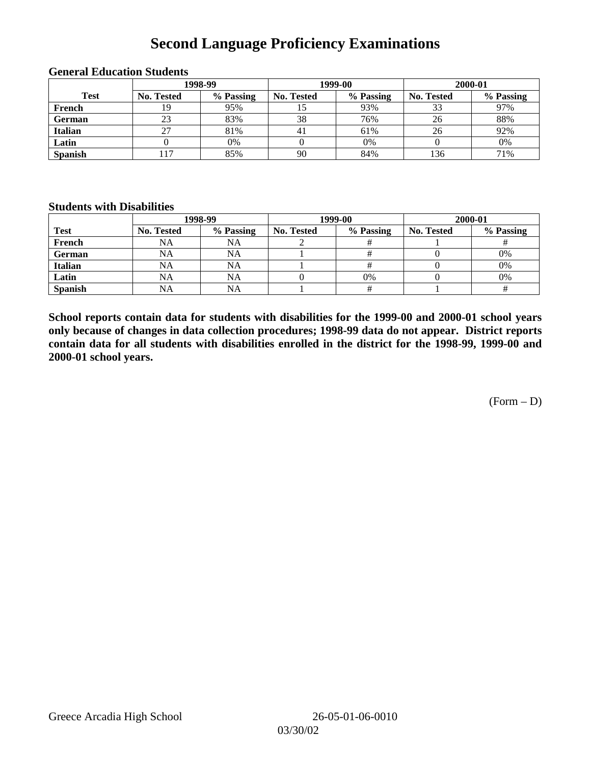# **Second Language Proficiency Examinations**

|                | 1998-99    |           |                   | 1999-00   | 2000-01           |           |  |
|----------------|------------|-----------|-------------------|-----------|-------------------|-----------|--|
| <b>Test</b>    | No. Tested | % Passing | <b>No. Tested</b> | % Passing | <b>No. Tested</b> | % Passing |  |
| French         | 19         | 95%       |                   | 93%       |                   | 97%       |  |
| <b>German</b>  | 23         | 83%       | 38                | 76%       | 26                | 88%       |  |
| <b>Italian</b> | 27         | 81%       | 41                | 61%       | 26                | 92%       |  |
| Latin          |            | 0%        |                   | 0%        |                   | 0%        |  |
| <b>Spanish</b> |            | 85%       | 90                | 84%       | 136               | 71%       |  |

### **General Education Students**

#### **Students with Disabilities**

|                | 1998-99    |           |                   | 1999-00   | 2000-01           |           |  |
|----------------|------------|-----------|-------------------|-----------|-------------------|-----------|--|
| <b>Test</b>    | No. Tested | % Passing | <b>No. Tested</b> | % Passing | <b>No. Tested</b> | % Passing |  |
| French         | NA         | NA        |                   |           |                   |           |  |
| German         | NA         | NA        |                   |           |                   | 0%        |  |
| Italian        | NA         | NA        |                   |           |                   | 0%        |  |
| Latin          | NA         | NA        |                   | 0%        |                   | 0%        |  |
| <b>Spanish</b> | <b>NA</b>  | NA        |                   |           |                   |           |  |

**School reports contain data for students with disabilities for the 1999-00 and 2000-01 school years only because of changes in data collection procedures; 1998-99 data do not appear. District reports contain data for all students with disabilities enrolled in the district for the 1998-99, 1999-00 and 2000-01 school years.**

 $(Form - D)$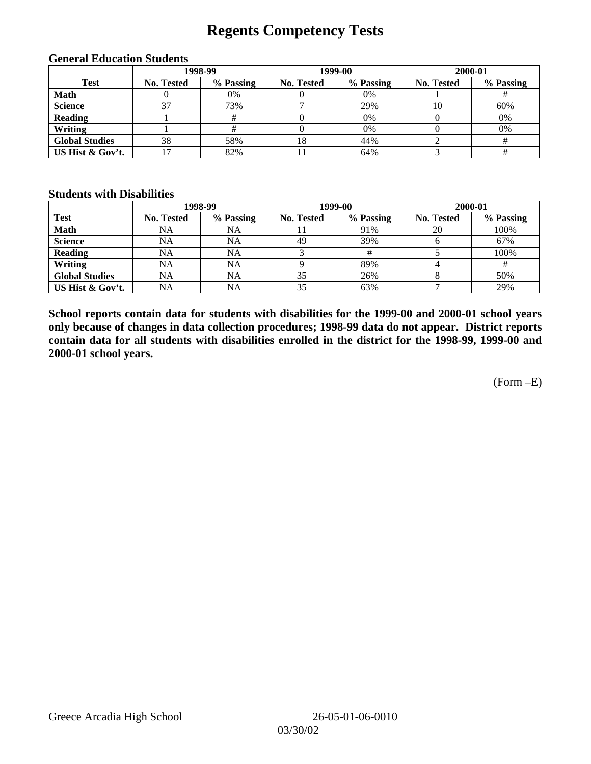## **Regents Competency Tests**

|                       | 1998-99    |           |            | 1999-00   | 2000-01           |           |  |
|-----------------------|------------|-----------|------------|-----------|-------------------|-----------|--|
| <b>Test</b>           | No. Tested | % Passing | No. Tested | % Passing | <b>No. Tested</b> | % Passing |  |
| <b>Math</b>           |            | 0%        |            | $0\%$     |                   |           |  |
| <b>Science</b>        |            | 73%       |            | 29%       | 10                | 60%       |  |
| <b>Reading</b>        |            |           |            | 0%        |                   | 0%        |  |
| Writing               |            |           |            | $0\%$     |                   | 0%        |  |
| <b>Global Studies</b> | 38         | 58%       | 18         | 44%       |                   |           |  |
| US Hist & Gov't.      |            | 82%       |            | 64%       |                   |           |  |

#### **General Education Students**

### **Students with Disabilities**

|                       |                   | 1998-99   | 1999-00    |           | 2000-01           |           |
|-----------------------|-------------------|-----------|------------|-----------|-------------------|-----------|
| <b>Test</b>           | <b>No. Tested</b> | % Passing | No. Tested | % Passing | <b>No. Tested</b> | % Passing |
| <b>Math</b>           | NA                | NA        |            | 91%       | 20                | 100%      |
| <b>Science</b>        | <b>NA</b>         | <b>NA</b> | 49         | 39%       |                   | 67%       |
| <b>Reading</b>        | NA                | NA        |            |           |                   | 100%      |
| Writing               | <b>NA</b>         | NA        |            | 89%       |                   |           |
| <b>Global Studies</b> | NA                | NA        | 35         | 26%       |                   | 50%       |
| US Hist & Gov't.      | NA                | NA        | 35         | 63%       |                   | 29%       |

**School reports contain data for students with disabilities for the 1999-00 and 2000-01 school years only because of changes in data collection procedures; 1998-99 data do not appear. District reports contain data for all students with disabilities enrolled in the district for the 1998-99, 1999-00 and 2000-01 school years.**

(Form –E)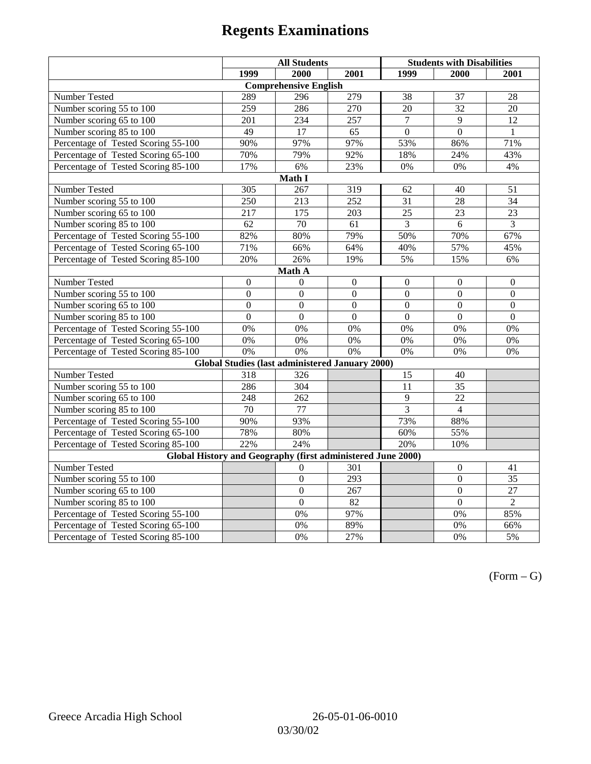|                                                             | <b>All Students</b> |                                                        |                  | <b>Students with Disabilities</b> |                  |                  |  |  |
|-------------------------------------------------------------|---------------------|--------------------------------------------------------|------------------|-----------------------------------|------------------|------------------|--|--|
|                                                             | 1999                | 2000                                                   | 2001             | 1999                              | 2000             | 2001             |  |  |
|                                                             |                     | <b>Comprehensive English</b>                           |                  |                                   |                  |                  |  |  |
| Number Tested                                               | 289                 | 296                                                    | 279              | 38                                | 37               | 28               |  |  |
| Number scoring 55 to 100                                    | 259                 | 286                                                    | 270              | 20                                | $\overline{32}$  | 20               |  |  |
| Number scoring 65 to 100                                    | 201                 | 234                                                    | 257              | $\overline{7}$                    | 9                | 12               |  |  |
| Number scoring 85 to 100                                    | 49                  | $\overline{17}$                                        | 65               | $\overline{0}$                    | $\overline{0}$   | $\mathbf{1}$     |  |  |
| Percentage of Tested Scoring 55-100                         | 90%                 | 97%                                                    | 97%              | 53%                               | 86%              | 71%              |  |  |
| Percentage of Tested Scoring 65-100                         | 70%                 | 79%                                                    | 92%              | 18%                               | 24%              | 43%              |  |  |
| Percentage of Tested Scoring 85-100                         | 17%                 | 6%                                                     | 23%              | $0\%$                             | $0\%$            | 4%               |  |  |
|                                                             |                     | Math I                                                 |                  |                                   |                  |                  |  |  |
| Number Tested<br>305<br>319<br>51<br>267<br>62<br>40        |                     |                                                        |                  |                                   |                  |                  |  |  |
| Number scoring 55 to 100                                    | 250                 | 213                                                    | 252              | 31                                | 28               | 34               |  |  |
| Number scoring 65 to 100                                    | 217                 | 175                                                    | 203              | 25                                | 23               | $\overline{23}$  |  |  |
| Number scoring 85 to 100                                    | 62                  | 70                                                     | 61               | $\overline{3}$                    | $\overline{6}$   | $\overline{3}$   |  |  |
| Percentage of Tested Scoring 55-100                         | 82%                 | 80%                                                    | 79%              | 50%                               | 70%              | 67%              |  |  |
| Percentage of Tested Scoring 65-100                         | 71%                 | 66%                                                    | 64%              | 40%                               | 57%              | 45%              |  |  |
| Percentage of Tested Scoring 85-100                         | 20%                 | 26%                                                    | 19%              | 5%                                | 15%              | 6%               |  |  |
| Math A                                                      |                     |                                                        |                  |                                   |                  |                  |  |  |
| Number Tested                                               | $\boldsymbol{0}$    | $\Omega$                                               | $\mathbf{0}$     | $\overline{0}$                    | $\mathbf{0}$     | $\mathbf{0}$     |  |  |
| Number scoring 55 to 100                                    | $\overline{0}$      | $\overline{0}$                                         | $\overline{0}$   | $\overline{0}$                    | $\overline{0}$   | $\overline{0}$   |  |  |
| Number scoring 65 to 100                                    | $\boldsymbol{0}$    | $\mathbf{0}$                                           | $\mathbf{0}$     | $\overline{0}$                    | $\boldsymbol{0}$ | $\boldsymbol{0}$ |  |  |
| Number scoring 85 to 100                                    | $\mathbf{0}$        | $\mathbf{0}$                                           | $\mathbf{0}$     | $\mathbf{0}$                      | $\mathbf{0}$     | $\boldsymbol{0}$ |  |  |
| Percentage of Tested Scoring 55-100                         | 0%                  | 0%                                                     | 0%               | 0%                                | 0%               | 0%               |  |  |
| Percentage of Tested Scoring 65-100                         | 0%                  | 0%                                                     | 0%               | 0%                                | 0%               | 0%               |  |  |
| Percentage of Tested Scoring 85-100                         | 0%                  | 0%                                                     | $\overline{0\%}$ | 0%                                | 0%               | 0%               |  |  |
|                                                             |                     | <b>Global Studies (last administered January 2000)</b> |                  |                                   |                  |                  |  |  |
| Number Tested                                               | 318                 | 326                                                    |                  | 15                                | 40               |                  |  |  |
| Number scoring 55 to 100                                    | 286                 | $\overline{304}$                                       |                  | 11                                | $\overline{35}$  |                  |  |  |
| Number scoring 65 to 100                                    | 248                 | 262                                                    |                  | $\overline{9}$                    | $\overline{22}$  |                  |  |  |
| Number scoring $85 \overline{\text{to } 100}$               | 70                  | $\overline{77}$                                        |                  | $\overline{3}$                    | $\overline{4}$   |                  |  |  |
| Percentage of Tested Scoring 55-100                         | 90%                 | 93%                                                    |                  | 73%                               | 88%              |                  |  |  |
| Percentage of Tested Scoring 65-100                         | 78%                 | 80%                                                    |                  | 60%                               | 55%              |                  |  |  |
| Percentage of Tested Scoring 85-100                         | 22%                 | 24%                                                    |                  | 20%                               | 10%              |                  |  |  |
| Global History and Geography (first administered June 2000) |                     |                                                        |                  |                                   |                  |                  |  |  |
| Number Tested                                               |                     | 0                                                      | 301              |                                   | $\mathbf{0}$     | 41               |  |  |
| Number scoring 55 to 100                                    |                     | $\boldsymbol{0}$                                       | 293              |                                   | $\mathbf{0}$     | 35               |  |  |
| Number scoring 65 to 100                                    |                     | $\overline{0}$                                         | 267              |                                   | $\overline{0}$   | 27               |  |  |
| Number scoring 85 to 100                                    |                     | $\overline{0}$                                         | $\overline{82}$  |                                   | $\overline{0}$   | $\overline{2}$   |  |  |
| Percentage of Tested Scoring 55-100                         |                     | 0%                                                     | 97%              |                                   | $0\%$            | 85%              |  |  |
| Percentage of Tested Scoring 65-100                         |                     | 0%                                                     | 89%              |                                   | $0\%$            | 66%              |  |  |
| Percentage of Tested Scoring 85-100                         |                     | 0%                                                     | 27%              |                                   | 0%               | 5%               |  |  |

 $(Form - G)$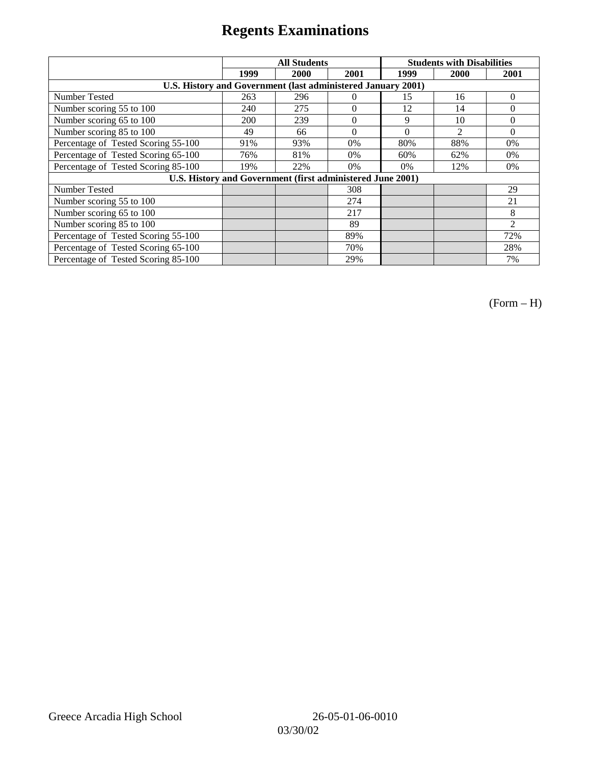|                                                              | <b>All Students</b> |                                                            |          | <b>Students with Disabilities</b> |                |          |
|--------------------------------------------------------------|---------------------|------------------------------------------------------------|----------|-----------------------------------|----------------|----------|
|                                                              | 1999                | 2000                                                       | 2001     | 1999                              | 2000           | 2001     |
| U.S. History and Government (last administered January 2001) |                     |                                                            |          |                                   |                |          |
| Number Tested                                                | 263                 | 296                                                        | $\Omega$ | 15                                | 16             | $\theta$ |
| Number scoring 55 to 100                                     | 240                 | 275                                                        | $\theta$ | 12                                | 14             | $\Omega$ |
| Number scoring 65 to 100                                     | 200                 | 239                                                        | $\theta$ | 9                                 | 10             | $\Omega$ |
| Number scoring 85 to 100                                     | 49                  | 66                                                         | $\theta$ | $\Omega$                          | $\mathfrak{D}$ | $\Omega$ |
| Percentage of Tested Scoring 55-100                          | 91%                 | 93%                                                        | 0%       | 80%                               | 88%            | 0%       |
| Percentage of Tested Scoring 65-100                          | 76%                 | 81%                                                        | 0%       | 60%                               | 62%            | $0\%$    |
| Percentage of Tested Scoring 85-100                          | 19%                 | 22%                                                        | $0\%$    | 0%                                | 12%            | $0\%$    |
|                                                              |                     | U.S. History and Government (first administered June 2001) |          |                                   |                |          |
| <b>Number Tested</b>                                         |                     |                                                            | 308      |                                   |                | 29       |
| Number scoring 55 to 100                                     |                     |                                                            | 274      |                                   |                | 21       |
| Number scoring 65 to 100                                     |                     |                                                            | 217      |                                   |                | 8        |
| Number scoring 85 to 100                                     |                     |                                                            | 89       |                                   |                | 2        |
| Percentage of Tested Scoring 55-100                          |                     |                                                            | 89%      |                                   |                | 72%      |
| Percentage of Tested Scoring 65-100                          |                     |                                                            | 70%      |                                   |                | 28%      |
| Percentage of Tested Scoring 85-100                          |                     |                                                            | 29%      |                                   |                | 7%       |

(Form – H)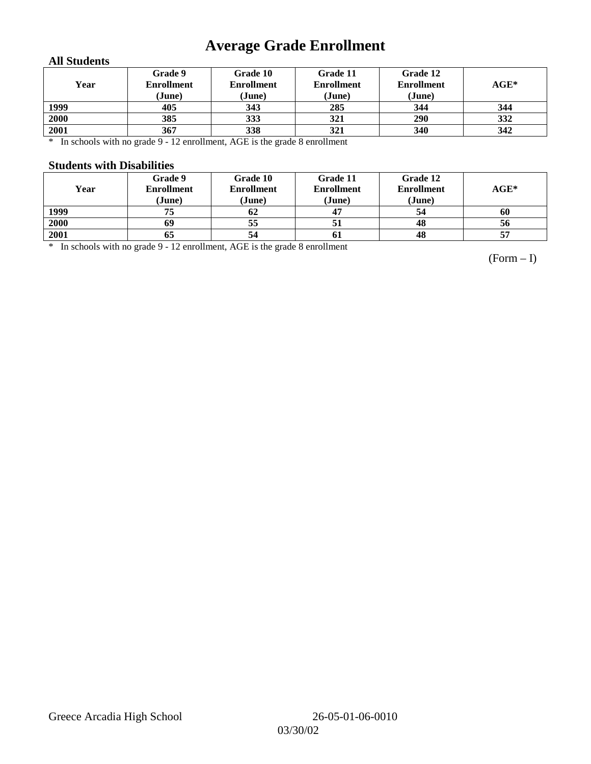# **Average Grade Enrollment**

### **All Students**

| Year | Grade 9<br><b>Enrollment</b><br>(June) | Grade 10<br><b>Enrollment</b><br>(June) | Grade 11<br><b>Enrollment</b><br>(June) | Grade 12<br><b>Enrollment</b><br>(June) | $\mathbf{AGE}^*$ |
|------|----------------------------------------|-----------------------------------------|-----------------------------------------|-----------------------------------------|------------------|
| 1999 | 405                                    | 343                                     | 285                                     | 344                                     | 344              |
| 2000 | 385                                    | 333                                     | 321                                     | 290                                     | 332              |
| 2001 | 367                                    | 338                                     | 321                                     | 340                                     | 342              |

\* In schools with no grade 9 - 12 enrollment, AGE is the grade 8 enrollment

#### **Students with Disabilities**

| Year | Grade 9<br><b>Enrollment</b><br>(June) | Grade 10<br><b>Enrollment</b><br>(June) | Grade 11<br><b>Enrollment</b><br>(June) | Grade 12<br><b>Enrollment</b><br>(June) | $AGE^*$ |
|------|----------------------------------------|-----------------------------------------|-----------------------------------------|-----------------------------------------|---------|
| 1999 | 75                                     | 62                                      |                                         | 54                                      | 60      |
| 2000 | 69                                     | 55                                      |                                         | 48                                      | 56      |
| 2001 | 65                                     | 54                                      | 61                                      | 48                                      | 57      |

\* In schools with no grade 9 - 12 enrollment, AGE is the grade 8 enrollment

(Form – I)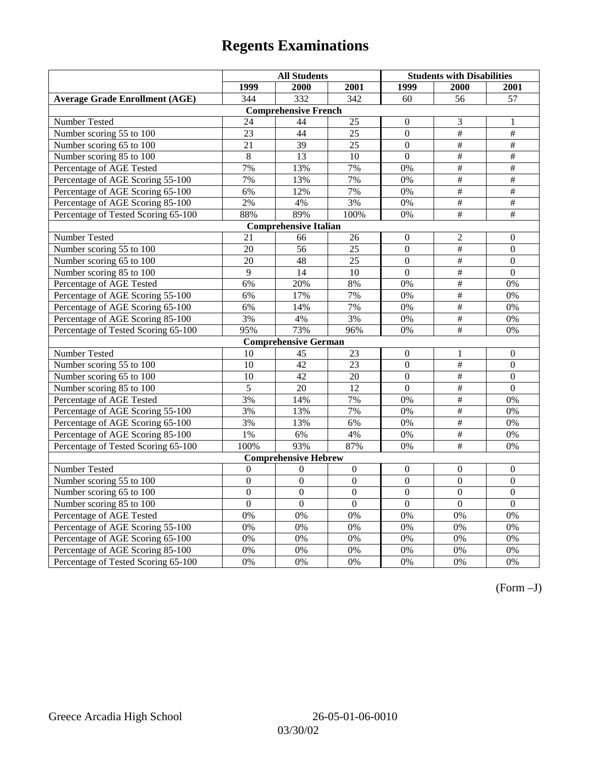|                                       | <b>All Students</b> |                              |                  | <b>Students with Disabilities</b> |                         |                  |
|---------------------------------------|---------------------|------------------------------|------------------|-----------------------------------|-------------------------|------------------|
|                                       | 1999                | 2000                         | 2001             | 1999                              | 2000                    | 2001             |
| <b>Average Grade Enrollment (AGE)</b> | 344                 | 332                          | $\overline{342}$ | 60                                | 56                      | 57               |
|                                       |                     | <b>Comprehensive French</b>  |                  |                                   |                         |                  |
| <b>Number Tested</b>                  | 24                  | 44                           | 25               | $\theta$                          | 3                       | 1                |
| Number scoring 55 to 100              | $\overline{23}$     | 44                           | $\overline{25}$  | $\Omega$                          | $\overline{+}$          | $\#$             |
| Number scoring 65 to 100              | 21                  | 39                           | 25               | $\mathbf{0}$                      | $\#$                    | $\#$             |
| Number scoring 85 to 100              | 8                   | 13                           | 10               | $\overline{0}$                    | $\overline{\#}$         | #                |
| Percentage of AGE Tested              | 7%                  | 13%                          | 7%               | 0%                                | #                       | $\overline{\#}$  |
| Percentage of AGE Scoring 55-100      | 7%                  | 13%                          | 7%               | 0%                                | $\#$                    | $\#$             |
| Percentage of AGE Scoring 65-100      | 6%                  | 12%                          | 7%               | 0%                                | $\#$                    | $\#$             |
| Percentage of AGE Scoring 85-100      | 2%                  | 4%                           | 3%               | 0%                                | $\#$                    | $\#$             |
| Percentage of Tested Scoring 65-100   | 88%                 | 89%                          | 100%             | 0%                                | $\overline{\#}$         | #                |
|                                       |                     | <b>Comprehensive Italian</b> |                  |                                   |                         |                  |
| Number Tested                         | 21                  | 66                           | 26               | $\theta$                          | 2                       | $\Omega$         |
| Number scoring 55 to 100              | 20                  | $\overline{56}$              | 25               | $\boldsymbol{0}$                  | #                       | $\overline{0}$   |
| Number scoring 65 to 100              | 20                  | 48                           | 25               | $\overline{0}$                    | $\#$                    | $\mathbf{0}$     |
| Number scoring 85 to 100              | 9                   | 14                           | 10               | $\mathbf{0}$                      | $\#$                    | $\overline{0}$   |
| Percentage of AGE Tested              | 6%                  | 20%                          | 8%               | 0%                                | $\#$                    | 0%               |
| Percentage of AGE Scoring 55-100      | 6%                  | 17%                          | 7%               | 0%                                | #                       | 0%               |
| Percentage of AGE Scoring 65-100      | 6%                  | 14%                          | 7%               | 0%                                | $\overline{\#}$         | 0%               |
| Percentage of AGE Scoring 85-100      | 3%                  | 4%                           | 3%               | 0%                                | $\overline{\#}$         | 0%               |
| Percentage of Tested Scoring 65-100   | 95%                 | 73%                          | 96%              | 0%                                | $\#$                    | 0%               |
|                                       |                     | <b>Comprehensive German</b>  |                  |                                   |                         |                  |
| Number Tested                         | 10                  | 45                           | 23               | $\mathbf{0}$                      | 1                       | $\mathbf{0}$     |
| Number scoring 55 to 100              | 10                  | 42                           | 23               | $\boldsymbol{0}$                  | $\#$                    | $\Omega$         |
| Number scoring 65 to 100              | 10                  | 42                           | 20               | $\mathbf{0}$                      | $\overline{\ddot{}}$    | $\mathbf{0}$     |
| Number scoring 85 to 100              | $\overline{5}$      | $\overline{20}$              | $\overline{12}$  | $\overline{0}$                    | $\overline{\#}$         | $\overline{0}$   |
| Percentage of AGE Tested              | 3%                  | 14%                          | 7%               | 0%                                | $\#$                    | 0%               |
| Percentage of AGE Scoring 55-100      | 3%                  | 13%                          | 7%               | 0%                                | $\#$                    | 0%               |
| Percentage of AGE Scoring 65-100      | 3%                  | 13%                          | 6%               | 0%                                | #                       | 0%               |
| Percentage of AGE Scoring 85-100      | 1%                  | 6%                           | 4%               | 0%                                | $\overline{\ddot{\pi}}$ | 0%               |
| Percentage of Tested Scoring 65-100   | 100%                | 93%                          | 87%              | 0%                                | $\overline{t}$          | 0%               |
|                                       |                     | <b>Comprehensive Hebrew</b>  |                  |                                   |                         |                  |
| Number Tested                         | $\boldsymbol{0}$    | $\Omega$                     | $\boldsymbol{0}$ | $\boldsymbol{0}$                  | $\boldsymbol{0}$        | $\boldsymbol{0}$ |
| Number scoring 55 to 100              | $\boldsymbol{0}$    | $\mathbf{0}$                 | $\overline{0}$   | $\overline{0}$                    | $\overline{0}$          | $\mathbf{0}$     |
| Number scoring 65 to 100              | $\boldsymbol{0}$    | $\mathbf{0}$                 | $\overline{0}$   | $\overline{0}$                    | $\overline{0}$          | $\mathbf{0}$     |
| Number scoring 85 to 100              | $\overline{0}$      | $\overline{0}$               | $\overline{0}$   | $\overline{0}$                    | $\mathbf{0}$            | $\mathbf{0}$     |
| Percentage of AGE Tested              | 0%                  | 0%                           | 0%               | 0%                                | 0%                      | 0%               |
| Percentage of AGE Scoring 55-100      | 0%                  | 0%                           | 0%               | 0%                                | 0%                      | 0%               |
| Percentage of AGE Scoring 65-100      | 0%                  | 0%                           | 0%               | 0%                                | 0%                      | 0%               |
| Percentage of AGE Scoring 85-100      | 0%                  | 0%                           | 0%               | 0%                                | 0%                      | $0\%$            |
| Percentage of Tested Scoring 65-100   | 0%                  | 0%                           | 0%               | 0%                                | 0%                      | 0%               |

(Form –J)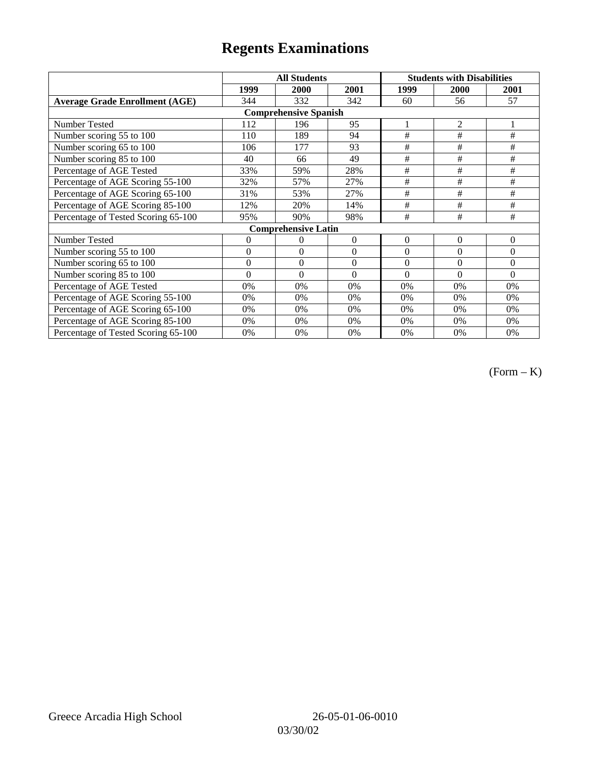|                                       |                | <b>All Students</b>        |                  | <b>Students with Disabilities</b> |             |          |  |  |
|---------------------------------------|----------------|----------------------------|------------------|-----------------------------------|-------------|----------|--|--|
|                                       | 1999           | 2000                       | 2001             | 1999                              | <b>2000</b> | 2001     |  |  |
| <b>Average Grade Enrollment (AGE)</b> | 344            | 332                        | 342              | 60                                | 56          | 57       |  |  |
| <b>Comprehensive Spanish</b>          |                |                            |                  |                                   |             |          |  |  |
| <b>Number Tested</b>                  | 112            | 196                        | 95               | 1                                 | 2           |          |  |  |
| Number scoring 55 to 100              | 110            | 189                        | 94               | #                                 | $\#$        | $\#$     |  |  |
| Number scoring 65 to 100              | 106            | 177                        | 93               | #                                 | #           | $\#$     |  |  |
| Number scoring 85 to 100              | 40             | 66                         | 49               | #                                 | #           | $\#$     |  |  |
| Percentage of AGE Tested              | 33%            | 59%                        | 28%              | #                                 | #           | #        |  |  |
| Percentage of AGE Scoring 55-100      | 32%            | 57%                        | 27%              | #                                 | $\#$        | $\#$     |  |  |
| Percentage of AGE Scoring 65-100      | 31%            | 53%                        | 27%              | #                                 | #           | #        |  |  |
| Percentage of AGE Scoring 85-100      | 12%            | 20%                        | 14%              | #                                 | #           | #        |  |  |
| Percentage of Tested Scoring 65-100   | 95%            | 90%                        | 98%              | #                                 | #           | #        |  |  |
|                                       |                | <b>Comprehensive Latin</b> |                  |                                   |             |          |  |  |
| Number Tested                         | $\overline{0}$ | 0                          | $\theta$         | $\overline{0}$                    | $\theta$    | $\theta$ |  |  |
| Number scoring 55 to 100              | $\mathbf{0}$   | $\theta$                   | $\boldsymbol{0}$ | $\overline{0}$                    | $\theta$    | $\Omega$ |  |  |
| Number scoring 65 to 100              | $\mathbf{0}$   | $\boldsymbol{0}$           | $\theta$         | $\theta$                          | $\theta$    | $\Omega$ |  |  |
| Number scoring 85 to 100              | $\theta$       | $\theta$                   | $\Omega$         | $\theta$                          | $\Omega$    | $\Omega$ |  |  |
| Percentage of AGE Tested              | 0%             | 0%                         | 0%               | 0%                                | 0%          | 0%       |  |  |
| Percentage of AGE Scoring 55-100      | 0%             | 0%                         | 0%               | 0%                                | 0%          | 0%       |  |  |
| Percentage of AGE Scoring 65-100      | 0%             | 0%                         | 0%               | 0%                                | 0%          | 0%       |  |  |
| Percentage of AGE Scoring 85-100      | 0%             | 0%                         | 0%               | $0\%$                             | 0%          | $0\%$    |  |  |
| Percentage of Tested Scoring 65-100   | 0%             | 0%                         | 0%               | 0%                                | 0%          | 0%       |  |  |

(Form – K)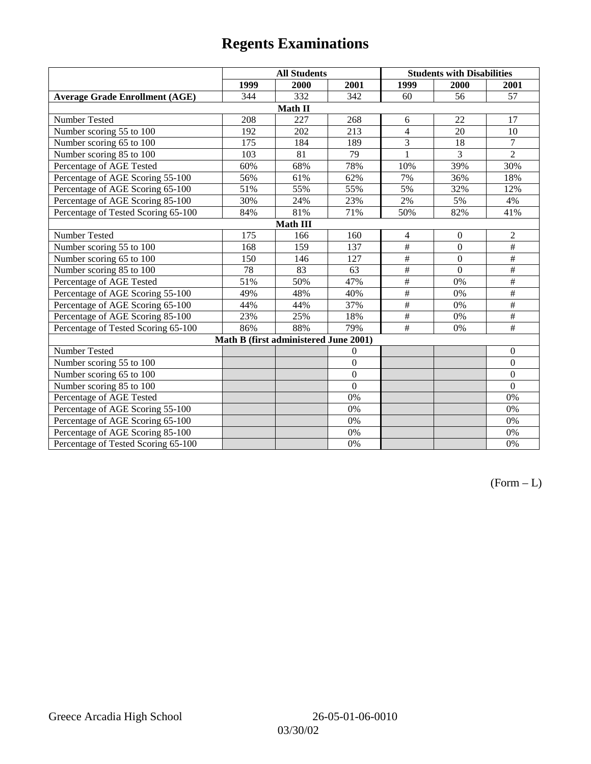|                                       | <b>All Students</b> |                                       |                | <b>Students with Disabilities</b> |                |                  |  |  |
|---------------------------------------|---------------------|---------------------------------------|----------------|-----------------------------------|----------------|------------------|--|--|
|                                       | 1999                | 2000                                  | 2001           | 1999                              | 2000           | 2001             |  |  |
| <b>Average Grade Enrollment (AGE)</b> | 344                 | 332                                   | 342            | 60                                | 56             | 57               |  |  |
|                                       |                     | Math II                               |                |                                   |                |                  |  |  |
| Number Tested                         | 208                 | 227                                   | 268            | 6                                 | 22             | 17               |  |  |
| Number scoring 55 to 100              | 192                 | 202                                   | 213            | $\overline{4}$                    | 20             | 10               |  |  |
| Number scoring 65 to 100              | 175                 | 184                                   | 189            | 3                                 | 18             | $\overline{7}$   |  |  |
| Number scoring 85 to 100              | 103                 | 81                                    | 79             | 1                                 | $\overline{3}$ | $\overline{2}$   |  |  |
| Percentage of AGE Tested              | 60%                 | 68%                                   | 78%            | 10%                               | 39%            | 30%              |  |  |
| Percentage of AGE Scoring 55-100      | 56%                 | 61%                                   | 62%            | 7%                                | 36%            | 18%              |  |  |
| Percentage of AGE Scoring 65-100      | 51%                 | 55%                                   | 55%            | 5%                                | 32%            | 12%              |  |  |
| Percentage of AGE Scoring 85-100      | 30%                 | 24%                                   | 23%            | 2%                                | 5%             | 4%               |  |  |
| Percentage of Tested Scoring 65-100   | 84%                 | 81%                                   | 71%            | 50%                               | 82%            | 41%              |  |  |
| Math III                              |                     |                                       |                |                                   |                |                  |  |  |
| Number Tested                         | 175                 | 166                                   | 160            | $\overline{4}$                    | $\mathbf{0}$   | $\sqrt{2}$       |  |  |
| Number scoring 55 to 100              | 168                 | 159                                   | 137            | $\overline{\#}$                   | $\overline{0}$ | $\overline{\#}$  |  |  |
| Number scoring 65 to 100              | 150                 | 146                                   | 127            | $\#$                              | $\mathbf{0}$   | $\#$             |  |  |
| Number scoring 85 to 100              | 78                  | 83                                    | 63             | $\#$                              | $\theta$       | $\#$             |  |  |
| Percentage of AGE Tested              | 51%                 | 50%                                   | 47%            | $\#$                              | 0%             | $\#$             |  |  |
| Percentage of AGE Scoring 55-100      | 49%                 | 48%                                   | 40%            | $\overline{\#}$                   | 0%             | $\#$             |  |  |
| Percentage of AGE Scoring 65-100      | 44%                 | 44%                                   | 37%            | $\#$                              | 0%             | $\#$             |  |  |
| Percentage of AGE Scoring 85-100      | 23%                 | 25%                                   | 18%            | $\#$                              | 0%             | $\#$             |  |  |
| Percentage of Tested Scoring 65-100   | 86%                 | 88%                                   | 79%            | #                                 | 0%             | $\#$             |  |  |
|                                       |                     | Math B (first administered June 2001) |                |                                   |                |                  |  |  |
| Number Tested                         |                     |                                       | $\theta$       |                                   |                | $\boldsymbol{0}$ |  |  |
| Number scoring 55 to 100              |                     |                                       | $\overline{0}$ |                                   |                | $\mathbf{0}$     |  |  |
| Number scoring 65 to 100              |                     |                                       | $\overline{0}$ |                                   |                | $\boldsymbol{0}$ |  |  |
| Number scoring 85 to 100              |                     |                                       | $\overline{0}$ |                                   |                | $\mathbf{0}$     |  |  |
| Percentage of AGE Tested              |                     |                                       | 0%             |                                   |                | $0\%$            |  |  |
| Percentage of AGE Scoring 55-100      |                     |                                       | 0%             |                                   |                | 0%               |  |  |
| Percentage of AGE Scoring 65-100      |                     |                                       | 0%             |                                   |                | $0\%$            |  |  |
| Percentage of AGE Scoring 85-100      |                     |                                       | 0%             |                                   |                | 0%               |  |  |
| Percentage of Tested Scoring 65-100   |                     |                                       | 0%             |                                   |                | 0%               |  |  |

 $(Form - L)$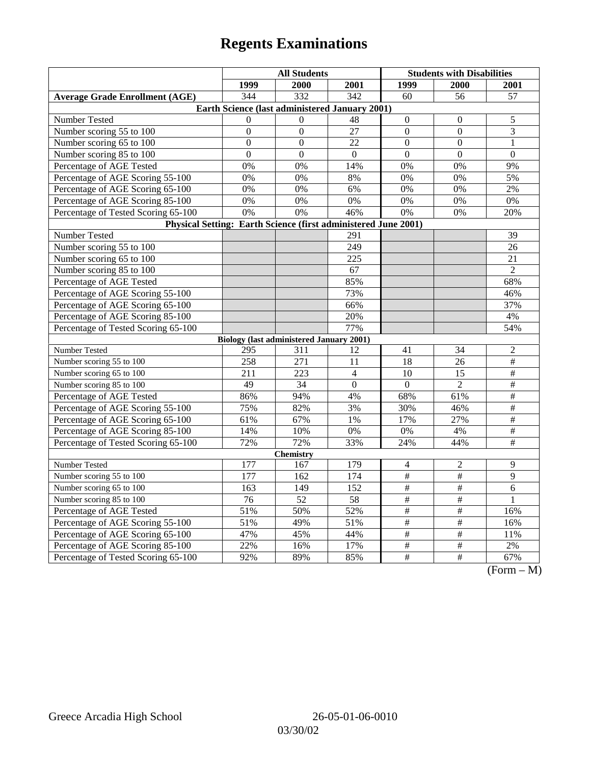|                                                                | <b>All Students</b>                             |                |                | <b>Students with Disabilities</b> |                 |                       |  |  |
|----------------------------------------------------------------|-------------------------------------------------|----------------|----------------|-----------------------------------|-----------------|-----------------------|--|--|
|                                                                | 1999                                            | 2000           | 2001           | 1999                              | 2000            | 2001                  |  |  |
| <b>Average Grade Enrollment (AGE)</b>                          | 344                                             | 332            | 342            | 60                                | 56              | 57                    |  |  |
| Earth Science (last administered January 2001)                 |                                                 |                |                |                                   |                 |                       |  |  |
| Number Tested                                                  | $\Omega$                                        | $\Omega$       | 48             | $\mathbf{0}$                      | $\theta$        | 5                     |  |  |
| Number scoring 55 to 100                                       | $\boldsymbol{0}$                                | $\mathbf{0}$   | 27             | $\mathbf{0}$                      | $\overline{0}$  | 3                     |  |  |
| Number scoring 65 to 100                                       | $\Omega$                                        | $\theta$       | 22             | $\Omega$                          | $\theta$        | 1                     |  |  |
| Number scoring 85 to 100                                       | $\overline{0}$                                  | $\overline{0}$ | $\theta$       | $\overline{0}$                    | $\overline{0}$  | $\Omega$              |  |  |
| Percentage of AGE Tested                                       | 0%                                              | 0%             | 14%            | 0%                                | 0%              | 9%                    |  |  |
| Percentage of AGE Scoring 55-100                               | 0%                                              | 0%             | 8%             | 0%                                | 0%              | 5%                    |  |  |
| Percentage of AGE Scoring 65-100                               | 0%                                              | 0%             | 6%             | 0%                                | 0%              | 2%                    |  |  |
| Percentage of AGE Scoring 85-100                               | 0%                                              | 0%             | 0%             | 0%                                | 0%              | 0%                    |  |  |
| Percentage of Tested Scoring 65-100                            | 0%                                              | 0%             | 46%            | $\overline{0\%}$                  | 0%              | 20%                   |  |  |
| Physical Setting: Earth Science (first administered June 2001) |                                                 |                |                |                                   |                 |                       |  |  |
| Number Tested                                                  |                                                 |                | 291            |                                   |                 | 39                    |  |  |
| Number scoring 55 to 100                                       |                                                 |                | 249            |                                   |                 | 26                    |  |  |
| Number scoring 65 to 100                                       |                                                 |                | 225            |                                   |                 | 21                    |  |  |
| Number scoring 85 to 100                                       |                                                 |                | 67             |                                   |                 | $\mathfrak{2}$        |  |  |
| Percentage of AGE Tested                                       |                                                 |                | 85%            |                                   |                 | 68%                   |  |  |
| Percentage of AGE Scoring 55-100                               |                                                 |                | 73%            |                                   |                 | 46%                   |  |  |
| Percentage of AGE Scoring 65-100                               |                                                 |                | 66%            |                                   |                 | 37%                   |  |  |
| Percentage of AGE Scoring 85-100                               |                                                 |                | 20%            |                                   |                 | 4%                    |  |  |
| Percentage of Tested Scoring 65-100                            |                                                 |                | 77%            |                                   |                 | 54%                   |  |  |
|                                                                | <b>Biology (last administered January 2001)</b> |                |                |                                   |                 |                       |  |  |
| Number Tested                                                  | 295                                             | 311            | 12             | 41                                | 34              | $\mathfrak{2}$        |  |  |
| Number scoring 55 to 100                                       | 258                                             | 271            | 11             | 18                                | 26              | $\overline{\#}$       |  |  |
| Number scoring 65 to 100                                       | 211                                             | 223            | $\overline{4}$ | 10                                | 15              | $\#$                  |  |  |
| Number scoring 85 to 100                                       | 49                                              | 34             | $\overline{0}$ | $\mathbf{0}$                      | $\overline{2}$  | $\#$                  |  |  |
| Percentage of AGE Tested                                       | 86%                                             | 94%            | 4%             | 68%                               | 61%             | $\#$                  |  |  |
| Percentage of AGE Scoring 55-100                               | 75%                                             | 82%            | 3%             | 30%                               | 46%             | $\#$                  |  |  |
| Percentage of AGE Scoring 65-100                               | 61%                                             | 67%            | 1%             | 17%                               | 27%             | $\frac{1}{2}$         |  |  |
| Percentage of AGE Scoring 85-100                               | 14%                                             | 10%            | 0%             | 0%                                | 4%              | $\#$                  |  |  |
| Percentage of Tested Scoring 65-100                            | 72%                                             | 72%            | 33%            | 24%                               | 44%             | $\overline{\#}$       |  |  |
| <b>Chemistry</b>                                               |                                                 |                |                |                                   |                 |                       |  |  |
| Number Tested                                                  | 177                                             | 167            | 179            | $\overline{\mathcal{A}}$          | $\overline{c}$  | 9                     |  |  |
| Number scoring 55 to 100                                       | 177                                             | 162            | 174            | $\#$                              | $\#$            | 9                     |  |  |
| Number scoring 65 to 100                                       | 163                                             | 149            | 152            | $\#$                              | $\overline{\#}$ | 6                     |  |  |
| Number scoring 85 to 100                                       | $\overline{76}$                                 | 52             | 58             | $\#$                              | $\#$            | $\mathbf{1}$          |  |  |
| Percentage of AGE Tested                                       | 51%                                             | 50%            | 52%            | $\frac{1}{2}$                     | $\frac{1}{2}$   | 16%                   |  |  |
| Percentage of AGE Scoring 55-100                               | 51%                                             | 49%            | 51%            | $\#$                              | $\#$            | 16%                   |  |  |
| Percentage of AGE Scoring 65-100                               | 47%                                             | 45%            | 44%            | $\#$                              | $\#$            | 11%                   |  |  |
| Percentage of AGE Scoring 85-100                               | 22%                                             | 16%            | 17%            | $\#$                              | $\#$            | 2%                    |  |  |
| Percentage of Tested Scoring 65-100                            | 92%                                             | 89%            | 85%            | $\overline{\#}$                   | $\overline{\#}$ | 67%<br>$(T_{\rm ex})$ |  |  |

(Form – M)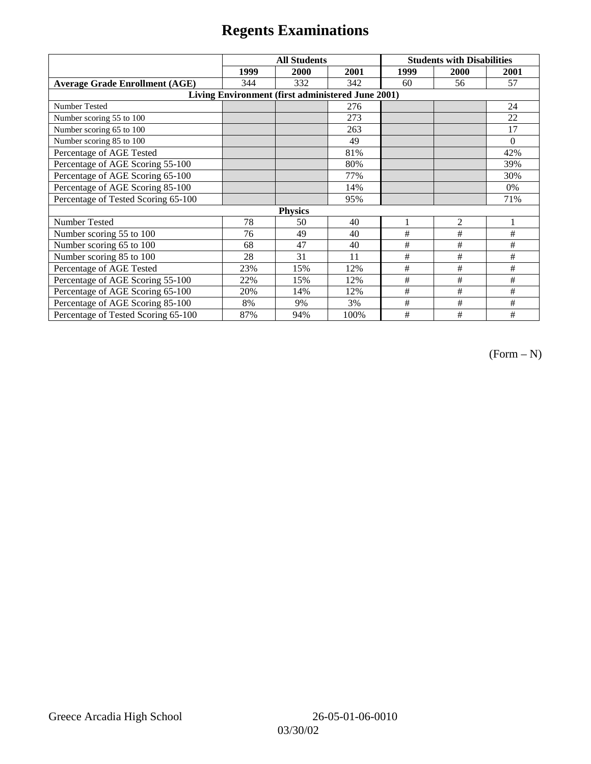|                                                   | <b>All Students</b> |      |      | <b>Students with Disabilities</b> |                |          |  |  |
|---------------------------------------------------|---------------------|------|------|-----------------------------------|----------------|----------|--|--|
|                                                   | 1999                | 2000 | 2001 | 1999                              | 2000           | 2001     |  |  |
| <b>Average Grade Enrollment (AGE)</b>             | 344                 | 332  | 342  | 60                                | 56             | 57       |  |  |
| Living Environment (first administered June 2001) |                     |      |      |                                   |                |          |  |  |
| Number Tested                                     |                     |      | 276  |                                   |                | 24       |  |  |
| Number scoring 55 to 100                          |                     |      | 273  |                                   |                | 22       |  |  |
| Number scoring 65 to 100                          |                     |      | 263  |                                   |                | 17       |  |  |
| Number scoring 85 to 100                          |                     |      | 49   |                                   |                | $\Omega$ |  |  |
| Percentage of AGE Tested                          |                     |      | 81%  |                                   |                | 42%      |  |  |
| Percentage of AGE Scoring 55-100                  |                     |      | 80%  |                                   |                | 39%      |  |  |
| Percentage of AGE Scoring 65-100                  |                     |      | 77%  |                                   |                | 30%      |  |  |
| Percentage of AGE Scoring 85-100                  |                     |      | 14%  |                                   |                | 0%       |  |  |
| Percentage of Tested Scoring 65-100               |                     |      | 95%  |                                   |                | 71%      |  |  |
| <b>Physics</b>                                    |                     |      |      |                                   |                |          |  |  |
| Number Tested                                     | 78                  | 50   | 40   |                                   | $\overline{2}$ |          |  |  |
| Number scoring 55 to 100                          | 76                  | 49   | 40   | #                                 | #              | #        |  |  |
| Number scoring 65 to 100                          | 68                  | 47   | 40   | #                                 | #              | #        |  |  |
| Number scoring 85 to 100                          | 28                  | 31   | 11   | #                                 | #              | #        |  |  |
| Percentage of AGE Tested                          | 23%                 | 15%  | 12%  | #                                 | #              | #        |  |  |
| Percentage of AGE Scoring 55-100                  | 22%                 | 15%  | 12%  | $\#$                              | $\#$           | #        |  |  |
| Percentage of AGE Scoring 65-100                  | 20%                 | 14%  | 12%  | #                                 | #              | #        |  |  |
| Percentage of AGE Scoring 85-100                  | 8%                  | 9%   | 3%   | #                                 | #              | #        |  |  |
| Percentage of Tested Scoring 65-100               | 87%                 | 94%  | 100% | #                                 | #              | #        |  |  |

 $(Form - N)$